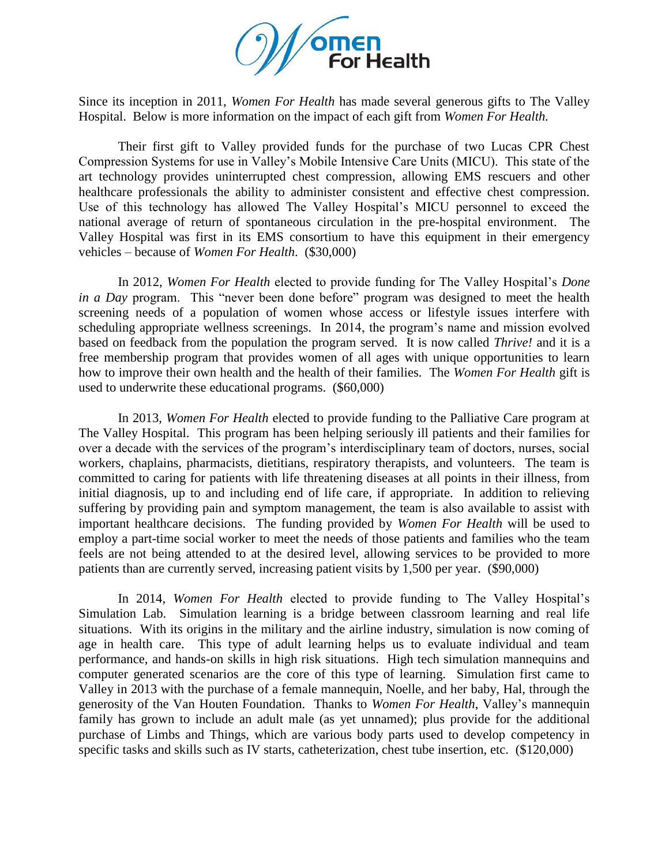

Since its inception in 2011, *Women For Health* has made several generous gifts to The Valley Hospital. Below is more information on the impact of each gift from *Women For Health.*

Their first gift to Valley provided funds for the purchase of two Lucas CPR Chest Compression Systems for use in Valley's Mobile Intensive Care Units (MICU). This state of the art technology provides uninterrupted chest compression, allowing EMS rescuers and other healthcare professionals the ability to administer consistent and effective chest compression. Use of this technology has allowed The Valley Hospital's MICU personnel to exceed the national average of return of spontaneous circulation in the pre-hospital environment. The Valley Hospital was first in its EMS consortium to have this equipment in their emergency vehicles – because of *Women For Health*. (\$30,000)

In 2012, *Women For Health* elected to provide funding for The Valley Hospital's *Done in a Day* program. This "never been done before" program was designed to meet the health screening needs of a population of women whose access or lifestyle issues interfere with scheduling appropriate wellness screenings. In 2014, the program's name and mission evolved based on feedback from the population the program served. It is now called *Thrive!* and it is a free membership program that provides women of all ages with unique opportunities to learn how to improve their own health and the health of their families. The *Women For Health* gift is used to underwrite these educational programs. (\$60,000)

In 2013, *Women For Health* elected to provide funding to the Palliative Care program at The Valley Hospital. This program has been helping seriously ill patients and their families for over a decade with the services of the program's interdisciplinary team of doctors, nurses, social workers, chaplains, pharmacists, dietitians, respiratory therapists, and volunteers. The team is committed to caring for patients with life threatening diseases at all points in their illness, from initial diagnosis, up to and including end of life care, if appropriate. In addition to relieving suffering by providing pain and symptom management, the team is also available to assist with important healthcare decisions. The funding provided by *Women For Health* will be used to employ a part-time social worker to meet the needs of those patients and families who the team feels are not being attended to at the desired level, allowing services to be provided to more patients than are currently served, increasing patient visits by 1,500 per year. (\$90,000)

In 2014, *Women For Health* elected to provide funding to The Valley Hospital's Simulation Lab. Simulation learning is a bridge between classroom learning and real life situations. With its origins in the military and the airline industry, simulation is now coming of age in health care. This type of adult learning helps us to evaluate individual and team performance, and hands-on skills in high risk situations. High tech simulation mannequins and computer generated scenarios are the core of this type of learning. Simulation first came to Valley in 2013 with the purchase of a female mannequin, Noelle, and her baby, Hal, through the generosity of the Van Houten Foundation. Thanks to *Women For Health*, Valley's mannequin family has grown to include an adult male (as yet unnamed); plus provide for the additional purchase of Limbs and Things, which are various body parts used to develop competency in specific tasks and skills such as IV starts, catheterization, chest tube insertion, etc. (\$120,000)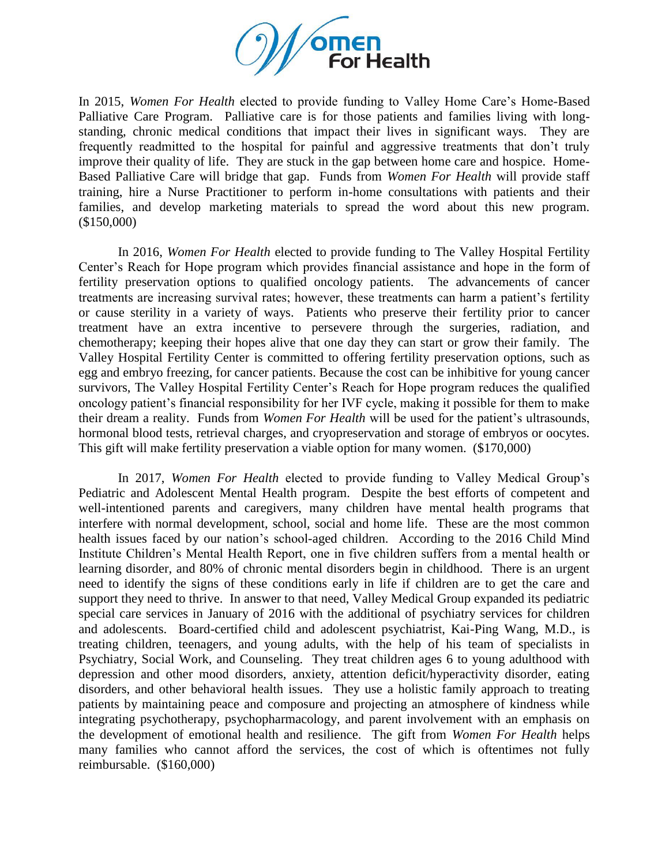

In 2015, *Women For Health* elected to provide funding to Valley Home Care's Home-Based Palliative Care Program. Palliative care is for those patients and families living with longstanding, chronic medical conditions that impact their lives in significant ways. They are frequently readmitted to the hospital for painful and aggressive treatments that don't truly improve their quality of life. They are stuck in the gap between home care and hospice. Home-Based Palliative Care will bridge that gap. Funds from *Women For Health* will provide staff training, hire a Nurse Practitioner to perform in-home consultations with patients and their families, and develop marketing materials to spread the word about this new program. (\$150,000)

In 2016, *Women For Health* elected to provide funding to The Valley Hospital Fertility Center's Reach for Hope program which provides financial assistance and hope in the form of fertility preservation options to qualified oncology patients. The advancements of cancer treatments are increasing survival rates; however, these treatments can harm a patient's fertility or cause sterility in a variety of ways. Patients who preserve their fertility prior to cancer treatment have an extra incentive to persevere through the surgeries, radiation, and chemotherapy; keeping their hopes alive that one day they can start or grow their family. The Valley Hospital Fertility Center is committed to offering fertility preservation options, such as egg and embryo freezing, for cancer patients. Because the cost can be inhibitive for young cancer survivors, The Valley Hospital Fertility Center's Reach for Hope program reduces the qualified oncology patient's financial responsibility for her IVF cycle, making it possible for them to make their dream a reality. Funds from *Women For Health* will be used for the patient's ultrasounds, hormonal blood tests, retrieval charges, and cryopreservation and storage of embryos or oocytes. This gift will make fertility preservation a viable option for many women. (\$170,000)

In 2017, *Women For Health* elected to provide funding to Valley Medical Group's Pediatric and Adolescent Mental Health program. Despite the best efforts of competent and well-intentioned parents and caregivers, many children have mental health programs that interfere with normal development, school, social and home life. These are the most common health issues faced by our nation's school-aged children. According to the 2016 Child Mind Institute Children's Mental Health Report, one in five children suffers from a mental health or learning disorder, and 80% of chronic mental disorders begin in childhood. There is an urgent need to identify the signs of these conditions early in life if children are to get the care and support they need to thrive. In answer to that need, Valley Medical Group expanded its pediatric special care services in January of 2016 with the additional of psychiatry services for children and adolescents. Board-certified child and adolescent psychiatrist, Kai-Ping Wang, M.D., is treating children, teenagers, and young adults, with the help of his team of specialists in Psychiatry, Social Work, and Counseling. They treat children ages 6 to young adulthood with depression and other mood disorders, anxiety, attention deficit/hyperactivity disorder, eating disorders, and other behavioral health issues. They use a holistic family approach to treating patients by maintaining peace and composure and projecting an atmosphere of kindness while integrating psychotherapy, psychopharmacology, and parent involvement with an emphasis on the development of emotional health and resilience. The gift from *Women For Health* helps many families who cannot afford the services, the cost of which is oftentimes not fully reimbursable. (\$160,000)